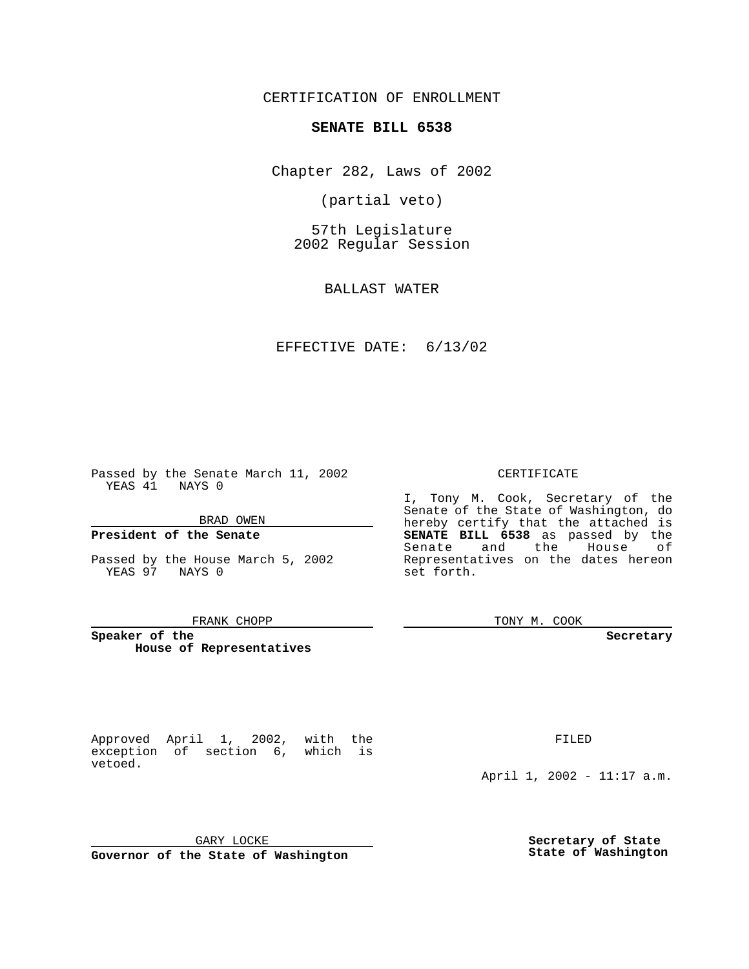CERTIFICATION OF ENROLLMENT

# **SENATE BILL 6538**

Chapter 282, Laws of 2002

(partial veto)

57th Legislature 2002 Regular Session

BALLAST WATER

## EFFECTIVE DATE: 6/13/02

Passed by the Senate March 11, 2002 YEAS 41 NAYS 0

### BRAD OWEN

## **President of the Senate**

vetoed.

Passed by the House March 5, 2002 YEAS 97 NAYS 0

#### FRANK CHOPP

Approved April 1, 2002, with the exception of section 6, which is

**Speaker of the House of Representatives** CERTIFICATE

I, Tony M. Cook, Secretary of the Senate of the State of Washington, do hereby certify that the attached is **SENATE BILL 6538** as passed by the Senate and the House of Representatives on the dates hereon set forth.

TONY M. COOK

**Secretary**

FILED

April 1, 2002 - 11:17 a.m.

GARY LOCKE

**Governor of the State of Washington**

**Secretary of State State of Washington**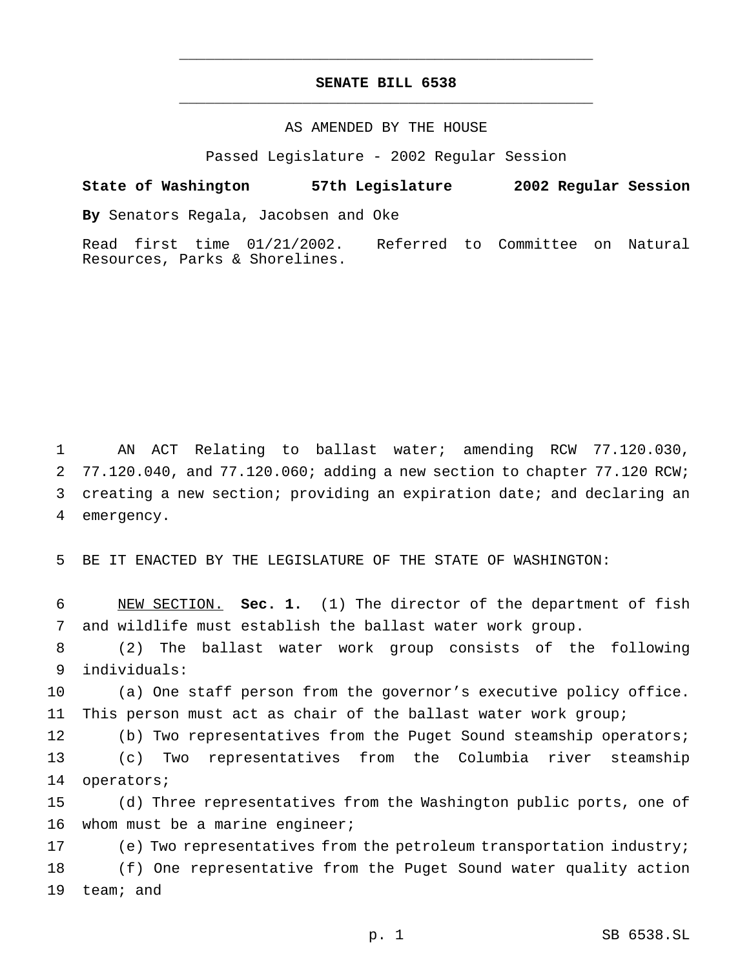# **SENATE BILL 6538** \_\_\_\_\_\_\_\_\_\_\_\_\_\_\_\_\_\_\_\_\_\_\_\_\_\_\_\_\_\_\_\_\_\_\_\_\_\_\_\_\_\_\_\_\_\_\_

\_\_\_\_\_\_\_\_\_\_\_\_\_\_\_\_\_\_\_\_\_\_\_\_\_\_\_\_\_\_\_\_\_\_\_\_\_\_\_\_\_\_\_\_\_\_\_

## AS AMENDED BY THE HOUSE

Passed Legislature - 2002 Regular Session

### **State of Washington 57th Legislature 2002 Regular Session**

**By** Senators Regala, Jacobsen and Oke

Read first time 01/21/2002. Referred to Committee on Natural Resources, Parks & Shorelines.

 AN ACT Relating to ballast water; amending RCW 77.120.030, 77.120.040, and 77.120.060; adding a new section to chapter 77.120 RCW; creating a new section; providing an expiration date; and declaring an emergency.

5 BE IT ENACTED BY THE LEGISLATURE OF THE STATE OF WASHINGTON:

6 NEW SECTION. **Sec. 1.** (1) The director of the department of fish 7 and wildlife must establish the ballast water work group.

8 (2) The ballast water work group consists of the following 9 individuals:

10 (a) One staff person from the governor's executive policy office. 11 This person must act as chair of the ballast water work group;

12 (b) Two representatives from the Puget Sound steamship operators; 13 (c) Two representatives from the Columbia river steamship 14 operators;

15 (d) Three representatives from the Washington public ports, one of 16 whom must be a marine engineer;

17 (e) Two representatives from the petroleum transportation industry; 18 (f) One representative from the Puget Sound water quality action 19 team; and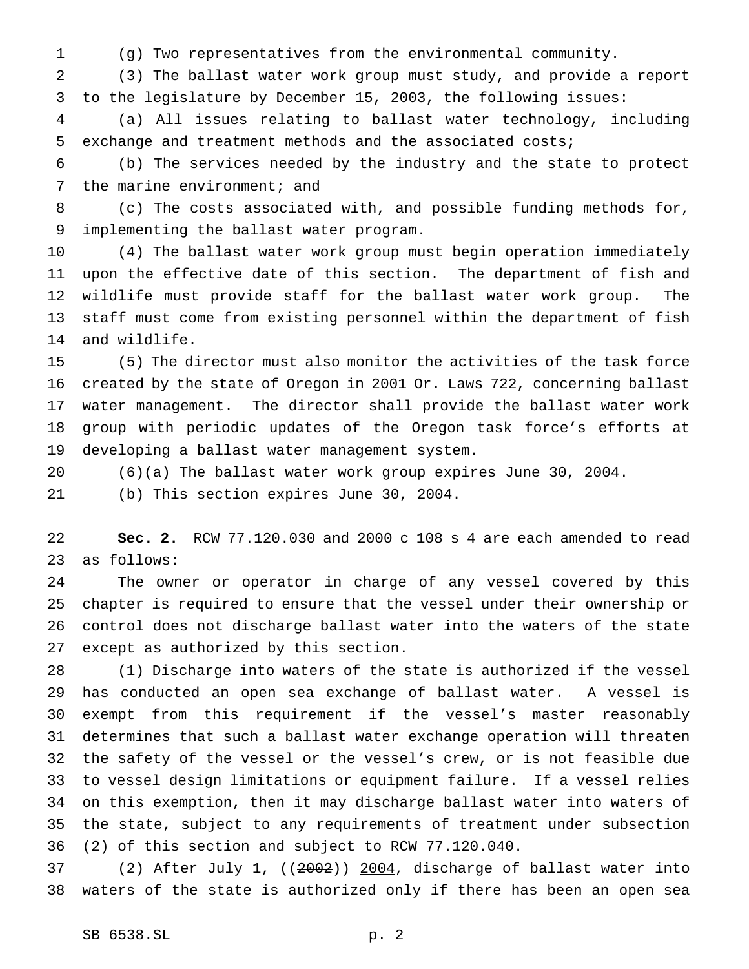(g) Two representatives from the environmental community.

 (3) The ballast water work group must study, and provide a report to the legislature by December 15, 2003, the following issues:

 (a) All issues relating to ballast water technology, including exchange and treatment methods and the associated costs;

 (b) The services needed by the industry and the state to protect 7 the marine environment; and

 (c) The costs associated with, and possible funding methods for, implementing the ballast water program.

 (4) The ballast water work group must begin operation immediately upon the effective date of this section. The department of fish and wildlife must provide staff for the ballast water work group. The staff must come from existing personnel within the department of fish and wildlife.

 (5) The director must also monitor the activities of the task force created by the state of Oregon in 2001 Or. Laws 722, concerning ballast water management. The director shall provide the ballast water work group with periodic updates of the Oregon task force's efforts at developing a ballast water management system.

 (6)(a) The ballast water work group expires June 30, 2004. (b) This section expires June 30, 2004.

 **Sec. 2.** RCW 77.120.030 and 2000 c 108 s 4 are each amended to read as follows:

 The owner or operator in charge of any vessel covered by this chapter is required to ensure that the vessel under their ownership or control does not discharge ballast water into the waters of the state except as authorized by this section.

 (1) Discharge into waters of the state is authorized if the vessel has conducted an open sea exchange of ballast water. A vessel is exempt from this requirement if the vessel's master reasonably determines that such a ballast water exchange operation will threaten the safety of the vessel or the vessel's crew, or is not feasible due to vessel design limitations or equipment failure. If a vessel relies on this exemption, then it may discharge ballast water into waters of the state, subject to any requirements of treatment under subsection (2) of this section and subject to RCW 77.120.040.

 (2) After July 1, ((2002)) 2004, discharge of ballast water into waters of the state is authorized only if there has been an open sea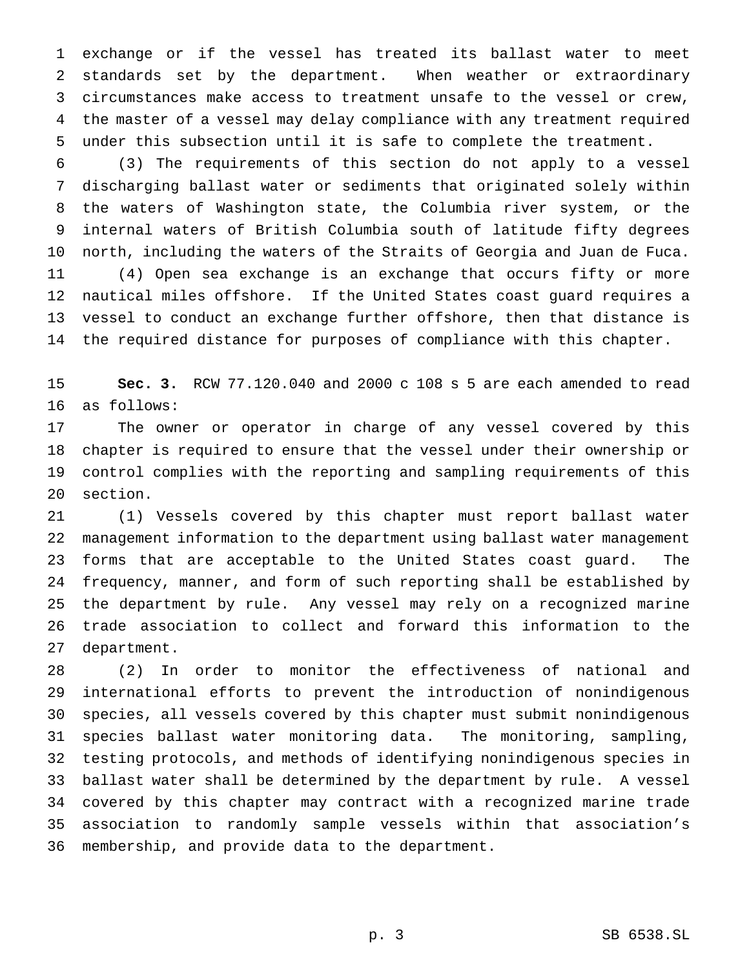exchange or if the vessel has treated its ballast water to meet standards set by the department. When weather or extraordinary circumstances make access to treatment unsafe to the vessel or crew, the master of a vessel may delay compliance with any treatment required under this subsection until it is safe to complete the treatment.

 (3) The requirements of this section do not apply to a vessel discharging ballast water or sediments that originated solely within the waters of Washington state, the Columbia river system, or the internal waters of British Columbia south of latitude fifty degrees north, including the waters of the Straits of Georgia and Juan de Fuca. (4) Open sea exchange is an exchange that occurs fifty or more nautical miles offshore. If the United States coast guard requires a vessel to conduct an exchange further offshore, then that distance is the required distance for purposes of compliance with this chapter.

 **Sec. 3.** RCW 77.120.040 and 2000 c 108 s 5 are each amended to read as follows:

 The owner or operator in charge of any vessel covered by this chapter is required to ensure that the vessel under their ownership or control complies with the reporting and sampling requirements of this section.

 (1) Vessels covered by this chapter must report ballast water management information to the department using ballast water management forms that are acceptable to the United States coast guard. The frequency, manner, and form of such reporting shall be established by the department by rule. Any vessel may rely on a recognized marine trade association to collect and forward this information to the department.

 (2) In order to monitor the effectiveness of national and international efforts to prevent the introduction of nonindigenous species, all vessels covered by this chapter must submit nonindigenous species ballast water monitoring data. The monitoring, sampling, testing protocols, and methods of identifying nonindigenous species in ballast water shall be determined by the department by rule. A vessel covered by this chapter may contract with a recognized marine trade association to randomly sample vessels within that association's membership, and provide data to the department.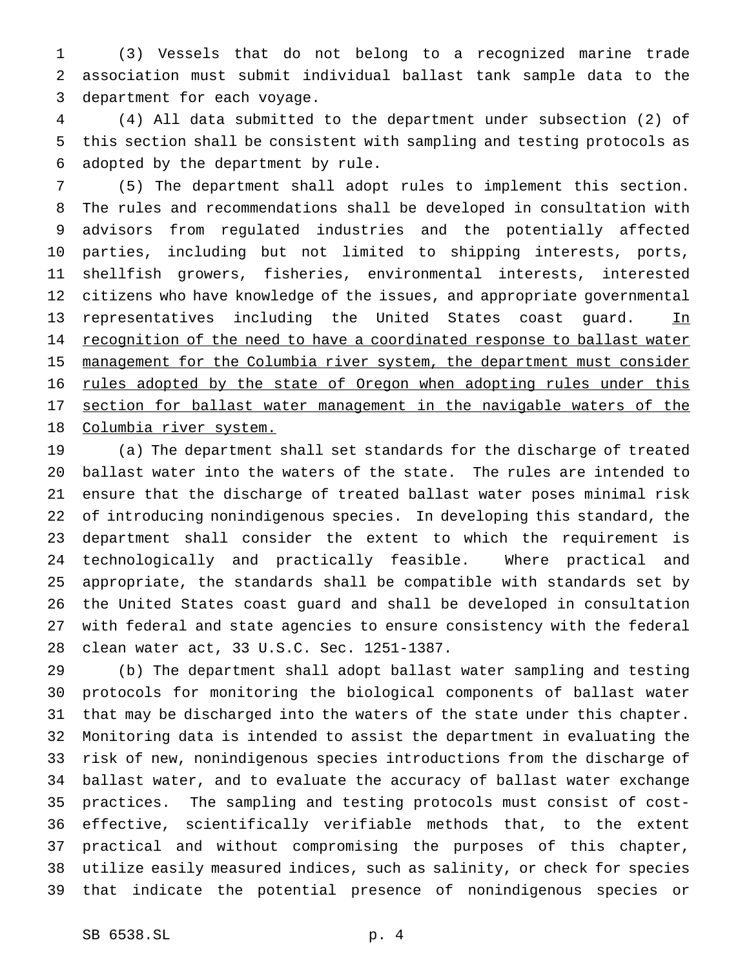(3) Vessels that do not belong to a recognized marine trade association must submit individual ballast tank sample data to the department for each voyage.

 (4) All data submitted to the department under subsection (2) of this section shall be consistent with sampling and testing protocols as adopted by the department by rule.

 (5) The department shall adopt rules to implement this section. The rules and recommendations shall be developed in consultation with advisors from regulated industries and the potentially affected parties, including but not limited to shipping interests, ports, shellfish growers, fisheries, environmental interests, interested citizens who have knowledge of the issues, and appropriate governmental 13 representatives including the United States coast guard. In 14 recognition of the need to have a coordinated response to ballast water 15 management for the Columbia river system, the department must consider 16 rules adopted by the state of Oregon when adopting rules under this 17 section for ballast water management in the navigable waters of the Columbia river system.

 (a) The department shall set standards for the discharge of treated ballast water into the waters of the state. The rules are intended to ensure that the discharge of treated ballast water poses minimal risk of introducing nonindigenous species. In developing this standard, the department shall consider the extent to which the requirement is technologically and practically feasible. Where practical and appropriate, the standards shall be compatible with standards set by the United States coast guard and shall be developed in consultation with federal and state agencies to ensure consistency with the federal clean water act, 33 U.S.C. Sec. 1251-1387.

 (b) The department shall adopt ballast water sampling and testing protocols for monitoring the biological components of ballast water that may be discharged into the waters of the state under this chapter. Monitoring data is intended to assist the department in evaluating the risk of new, nonindigenous species introductions from the discharge of ballast water, and to evaluate the accuracy of ballast water exchange practices. The sampling and testing protocols must consist of cost- effective, scientifically verifiable methods that, to the extent practical and without compromising the purposes of this chapter, utilize easily measured indices, such as salinity, or check for species that indicate the potential presence of nonindigenous species or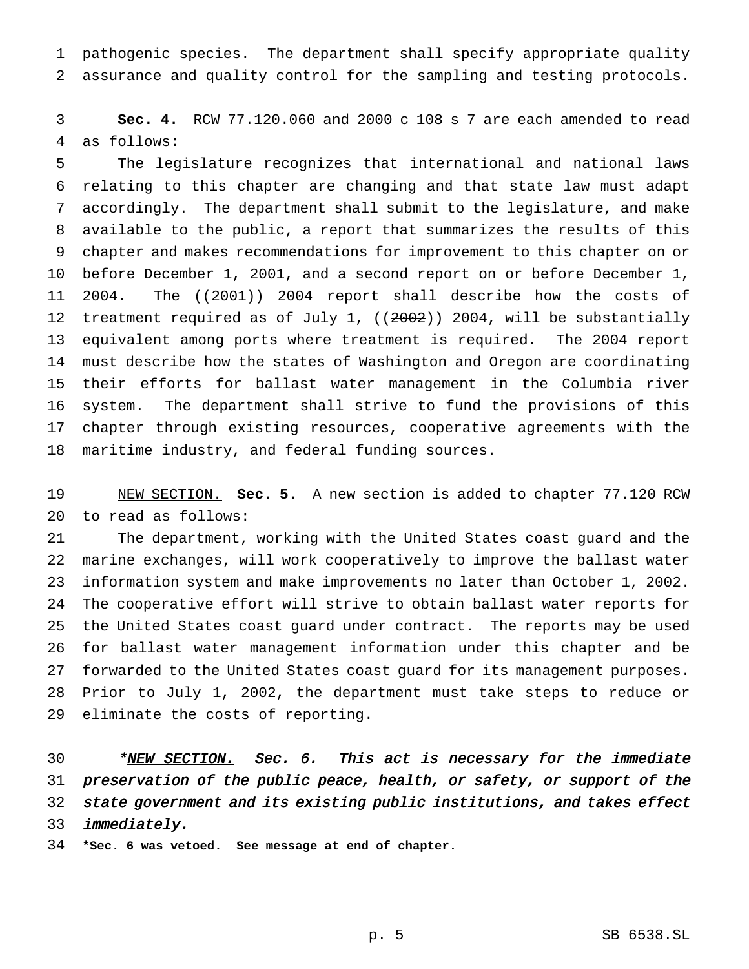pathogenic species. The department shall specify appropriate quality assurance and quality control for the sampling and testing protocols.

 **Sec. 4.** RCW 77.120.060 and 2000 c 108 s 7 are each amended to read as follows:

 The legislature recognizes that international and national laws relating to this chapter are changing and that state law must adapt accordingly. The department shall submit to the legislature, and make available to the public, a report that summarizes the results of this chapter and makes recommendations for improvement to this chapter on or before December 1, 2001, and a second report on or before December 1, 11 2004. The ((2001)) 2004 report shall describe how the costs of 12 treatment required as of July 1, ((2002)) 2004, will be substantially 13 equivalent among ports where treatment is required. The 2004 report must describe how the states of Washington and Oregon are coordinating their efforts for ballast water management in the Columbia river system. The department shall strive to fund the provisions of this chapter through existing resources, cooperative agreements with the maritime industry, and federal funding sources.

 NEW SECTION. **Sec. 5.** A new section is added to chapter 77.120 RCW to read as follows:

 The department, working with the United States coast guard and the marine exchanges, will work cooperatively to improve the ballast water information system and make improvements no later than October 1, 2002. The cooperative effort will strive to obtain ballast water reports for the United States coast guard under contract. The reports may be used for ballast water management information under this chapter and be forwarded to the United States coast guard for its management purposes. Prior to July 1, 2002, the department must take steps to reduce or eliminate the costs of reporting.

30 \*<u>NEW SECTION.</u> Sec. 6. This act is necessary for the immediate preservation of the public peace, health, or safety, or support of the state government and its existing public institutions, and takes effect immediately.

**\*Sec. 6 was vetoed. See message at end of chapter.**